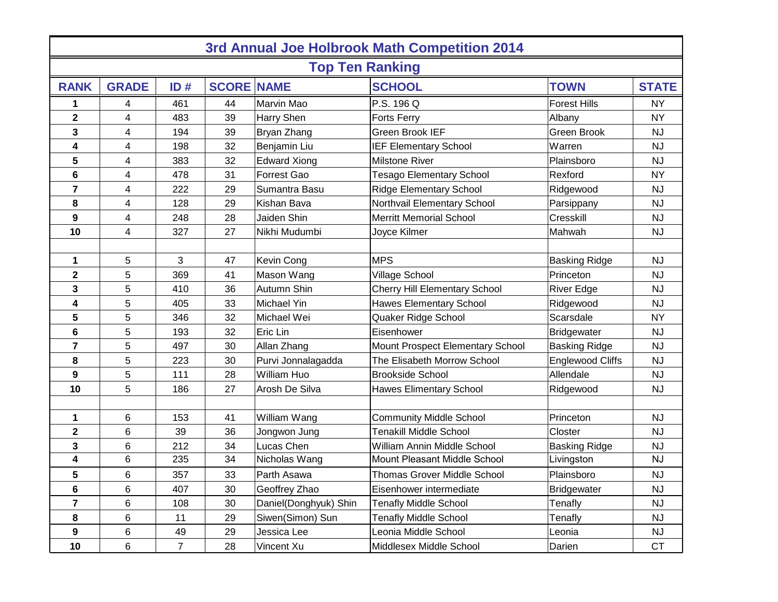| 3rd Annual Joe Holbrook Math Competition 2014 |              |                |    |                       |                                      |                         |              |  |  |  |  |  |
|-----------------------------------------------|--------------|----------------|----|-----------------------|--------------------------------------|-------------------------|--------------|--|--|--|--|--|
| <b>Top Ten Ranking</b>                        |              |                |    |                       |                                      |                         |              |  |  |  |  |  |
| <b>RANK</b>                                   | <b>GRADE</b> | ID#            |    | <b>SCORE NAME</b>     | <b>SCHOOL</b>                        | <b>TOWN</b>             | <b>STATE</b> |  |  |  |  |  |
| 1                                             | 4            | 461            | 44 | Marvin Mao            | P.S. 196 Q                           | <b>Forest Hills</b>     | <b>NY</b>    |  |  |  |  |  |
| $\overline{\mathbf{2}}$                       | 4            | 483            | 39 | Harry Shen            | <b>Forts Ferry</b>                   | Albany                  | <b>NY</b>    |  |  |  |  |  |
| 3                                             | 4            | 194            | 39 | Bryan Zhang           | Green Brook IEF                      | Green Brook             | <b>NJ</b>    |  |  |  |  |  |
| 4                                             | 4            | 198            | 32 | Benjamin Liu          | <b>IEF Elementary School</b>         | Warren                  | <b>NJ</b>    |  |  |  |  |  |
| 5                                             | 4            | 383            | 32 | <b>Edward Xiong</b>   | Milstone River                       | Plainsboro              | <b>NJ</b>    |  |  |  |  |  |
| 6                                             | 4            | 478            | 31 | Forrest Gao           | <b>Tesago Elementary School</b>      | Rexford                 | <b>NY</b>    |  |  |  |  |  |
| $\overline{7}$                                | 4            | 222            | 29 | Sumantra Basu         | <b>Ridge Elementary School</b>       | Ridgewood               | <b>NJ</b>    |  |  |  |  |  |
| 8                                             | 4            | 128            | 29 | Kishan Bava           | Northvail Elementary School          | Parsippany              | <b>NJ</b>    |  |  |  |  |  |
| 9                                             | 4            | 248            | 28 | Jaiden Shin           | <b>Merritt Memorial School</b>       | Cresskill               | <b>NJ</b>    |  |  |  |  |  |
| 10                                            | 4            | 327            | 27 | Nikhi Mudumbi         | Joyce Kilmer                         | Mahwah                  | <b>NJ</b>    |  |  |  |  |  |
|                                               |              |                |    |                       |                                      |                         |              |  |  |  |  |  |
| 1                                             | 5            | 3              | 47 | Kevin Cong            | <b>MPS</b>                           | <b>Basking Ridge</b>    | <b>NJ</b>    |  |  |  |  |  |
| $\mathbf 2$                                   | 5            | 369            | 41 | Mason Wang            | Village School                       | Princeton               | <b>NJ</b>    |  |  |  |  |  |
| 3                                             | 5            | 410            | 36 | Autumn Shin           | <b>Cherry Hill Elementary School</b> | <b>River Edge</b>       | <b>NJ</b>    |  |  |  |  |  |
| 4                                             | 5            | 405            | 33 | Michael Yin           | <b>Hawes Elementary School</b>       | Ridgewood               | <b>NJ</b>    |  |  |  |  |  |
| 5                                             | 5            | 346            | 32 | Michael Wei           | Quaker Ridge School                  | Scarsdale               | <b>NY</b>    |  |  |  |  |  |
| 6                                             | 5            | 193            | 32 | Eric Lin              | Eisenhower                           | <b>Bridgewater</b>      | <b>NJ</b>    |  |  |  |  |  |
| 7                                             | 5            | 497            | 30 | Allan Zhang           | Mount Prospect Elementary School     | <b>Basking Ridge</b>    | <b>NJ</b>    |  |  |  |  |  |
| 8                                             | 5            | 223            | 30 | Purvi Jonnalagadda    | The Elisabeth Morrow School          | <b>Englewood Cliffs</b> | <b>NJ</b>    |  |  |  |  |  |
| 9                                             | 5            | 111            | 28 | William Huo           | <b>Brookside School</b>              | Allendale               | <b>NJ</b>    |  |  |  |  |  |
| 10                                            | 5            | 186            | 27 | Arosh De Silva        | <b>Hawes Elimentary School</b>       | Ridgewood               | <b>NJ</b>    |  |  |  |  |  |
|                                               |              |                |    |                       |                                      |                         |              |  |  |  |  |  |
| 1                                             | 6            | 153            | 41 | William Wang          | <b>Community Middle School</b>       | Princeton               | <b>NJ</b>    |  |  |  |  |  |
| 2                                             | 6            | 39             | 36 | Jongwon Jung          | Tenakill Middle School               | Closter                 | <b>NJ</b>    |  |  |  |  |  |
| 3                                             | 6            | 212            | 34 | Lucas Chen            | William Annin Middle School          | <b>Basking Ridge</b>    | <b>NJ</b>    |  |  |  |  |  |
| 4                                             | 6            | 235            | 34 | Nicholas Wang         | Mount Pleasant Middle School         | Livingston              | <b>NJ</b>    |  |  |  |  |  |
| 5                                             | 6            | 357            | 33 | Parth Asawa           | Thomas Grover Middle School          | Plainsboro              | <b>NJ</b>    |  |  |  |  |  |
| 6                                             | 6            | 407            | 30 | Geoffrey Zhao         | Eisenhower intermediate              | <b>Bridgewater</b>      | <b>NJ</b>    |  |  |  |  |  |
| $\overline{\mathbf{r}}$                       | 6            | 108            | 30 | Daniel(Donghyuk) Shin | <b>Tenafly Middle School</b>         | Tenafly                 | <b>NJ</b>    |  |  |  |  |  |
| 8                                             | 6            | 11             | 29 | Siwen(Simon) Sun      | <b>Tenafly Middle School</b>         | Tenafly                 | <b>NJ</b>    |  |  |  |  |  |
| 9                                             | 6            | 49             | 29 | Jessica Lee           | Leonia Middle School                 | Leonia                  | <b>NJ</b>    |  |  |  |  |  |
| 10                                            | 6            | $\overline{7}$ | 28 | Vincent Xu            | Middlesex Middle School              | Darien                  | <b>CT</b>    |  |  |  |  |  |